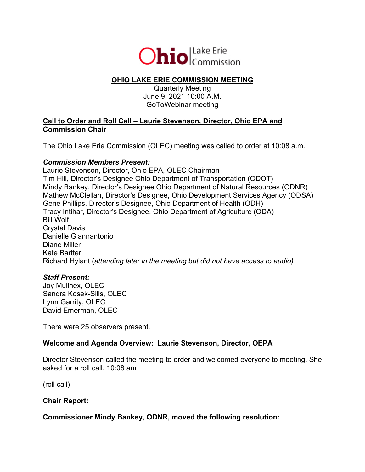

# **OHIO LAKE ERIE COMMISSION MEETING**

Quarterly Meeting June 9, 2021 10:00 A.M. GoToWebinar meeting

### **Call to Order and Roll Call – Laurie Stevenson, Director, Ohio EPA and Commission Chair**

The Ohio Lake Erie Commission (OLEC) meeting was called to order at 10:08 a.m.

#### *Commission Members Present:*

Laurie Stevenson, Director, Ohio EPA, OLEC Chairman Tim Hill, Director's Designee Ohio Department of Transportation (ODOT) Mindy Bankey, Director's Designee Ohio Department of Natural Resources (ODNR) Mathew McClellan, Director's Designee, Ohio Development Services Agency (ODSA) Gene Phillips, Director's Designee, Ohio Department of Health (ODH) Tracy Intihar, Director's Designee, Ohio Department of Agriculture (ODA) Bill Wolf Crystal Davis Danielle Giannantonio Diane Miller Kate Bartter Richard Hylant (*attending later in the meeting but did not have access to audio)*

#### *Staff Present:*

Joy Mulinex, OLEC Sandra Kosek-Sills, OLEC Lynn Garrity, OLEC David Emerman, OLEC

There were 25 observers present.

## **Welcome and Agenda Overview: Laurie Stevenson, Director, OEPA**

Director Stevenson called the meeting to order and welcomed everyone to meeting. She asked for a roll call. 10:08 am

(roll call)

#### **Chair Report:**

**Commissioner Mindy Bankey, ODNR, moved the following resolution:**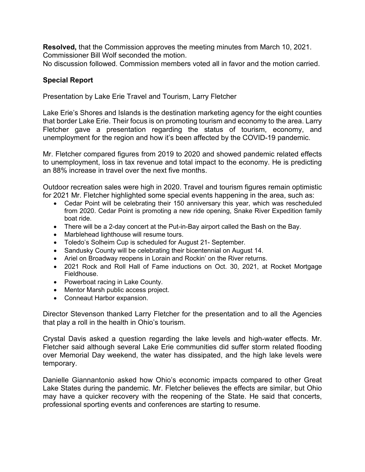**Resolved,** that the Commission approves the meeting minutes from March 10, 2021. Commissioner Bill Wolf seconded the motion.

No discussion followed. Commission members voted all in favor and the motion carried.

### **Special Report**

Presentation by Lake Erie Travel and Tourism, Larry Fletcher

Lake Erie's Shores and Islands is the destination marketing agency for the eight counties that border Lake Erie. Their focus is on promoting tourism and economy to the area. Larry Fletcher gave a presentation regarding the status of tourism, economy, and unemployment for the region and how it's been affected by the COVID-19 pandemic.

Mr. Fletcher compared figures from 2019 to 2020 and showed pandemic related effects to unemployment, loss in tax revenue and total impact to the economy. He is predicting an 88% increase in travel over the next five months.

Outdoor recreation sales were high in 2020. Travel and tourism figures remain optimistic for 2021 Mr. Fletcher highlighted some special events happening in the area, such as:

- Cedar Point will be celebrating their 150 anniversary this year, which was rescheduled from 2020. Cedar Point is promoting a new ride opening, Snake River Expedition family boat ride.
- There will be a 2-day concert at the Put-in-Bay airport called the Bash on the Bay.
- Marblehead lighthouse will resume tours.
- Toledo's Solheim Cup is scheduled for August 21- September.
- Sandusky County will be celebrating their bicentennial on August 14.
- Ariel on Broadway reopens in Lorain and Rockin' on the River returns.
- 2021 Rock and Roll Hall of Fame inductions on Oct. 30, 2021, at Rocket Mortgage Fieldhouse.
- Powerboat racing in Lake County.
- Mentor Marsh public access project.
- Conneaut Harbor expansion.

Director Stevenson thanked Larry Fletcher for the presentation and to all the Agencies that play a roll in the health in Ohio's tourism.

Crystal Davis asked a question regarding the lake levels and high-water effects. Mr. Fletcher said although several Lake Erie communities did suffer storm related flooding over Memorial Day weekend, the water has dissipated, and the high lake levels were temporary.

Danielle Giannantonio asked how Ohio's economic impacts compared to other Great Lake States during the pandemic. Mr. Fletcher believes the effects are similar, but Ohio may have a quicker recovery with the reopening of the State. He said that concerts, professional sporting events and conferences are starting to resume.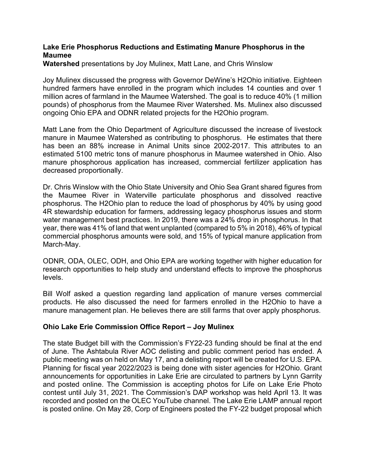### **Lake Erie Phosphorus Reductions and Estimating Manure Phosphorus in the Maumee**

**Watershed** presentations by Joy Mulinex, Matt Lane, and Chris Winslow

Joy Mulinex discussed the progress with Governor DeWine's H2Ohio initiative. Eighteen hundred farmers have enrolled in the program which includes 14 counties and over 1 million acres of farmland in the Maumee Watershed. The goal is to reduce 40% (1 million pounds) of phosphorus from the Maumee River Watershed. Ms. Mulinex also discussed ongoing Ohio EPA and ODNR related projects for the H2Ohio program.

Matt Lane from the Ohio Department of Agriculture discussed the increase of livestock manure in Maumee Watershed as contributing to phosphorus. He estimates that there has been an 88% increase in Animal Units since 2002-2017. This attributes to an estimated 5100 metric tons of manure phosphorus in Maumee watershed in Ohio. Also manure phosphorous application has increased, commercial fertilizer application has decreased proportionally.

Dr. Chris Winslow with the Ohio State University and Ohio Sea Grant shared figures from the Maumee River in Waterville particulate phosphorus and dissolved reactive phosphorus. The H2Ohio plan to reduce the load of phosphorus by 40% by using good 4R stewardship education for farmers, addressing legacy phosphorus issues and storm water management best practices. In 2019, there was a 24% drop in phosphorus. In that year, there was 41% of land that went unplanted (compared to 5% in 2018), 46% of typical commercial phosphorus amounts were sold, and 15% of typical manure application from March-May.

ODNR, ODA, OLEC, ODH, and Ohio EPA are working together with higher education for research opportunities to help study and understand effects to improve the phosphorus levels.

Bill Wolf asked a question regarding land application of manure verses commercial products. He also discussed the need for farmers enrolled in the H2Ohio to have a manure management plan. He believes there are still farms that over apply phosphorus.

## **Ohio Lake Erie Commission Office Report – Joy Mulinex**

The state Budget bill with the Commission's FY22-23 funding should be final at the end of June. The Ashtabula River AOC delisting and public comment period has ended. A public meeting was on held on May 17, and a delisting report will be created for U.S. EPA. Planning for fiscal year 2022/2023 is being done with sister agencies for H2Ohio. Grant announcements for opportunities in Lake Erie are circulated to partners by Lynn Garrity and posted online. The Commission is accepting photos for Life on Lake Erie Photo contest until July 31, 2021. The Commission's DAP workshop was held April 13. It was recorded and posted on the OLEC YouTube channel. The Lake Erie LAMP annual report is posted online. On May 28, Corp of Engineers posted the FY-22 budget proposal which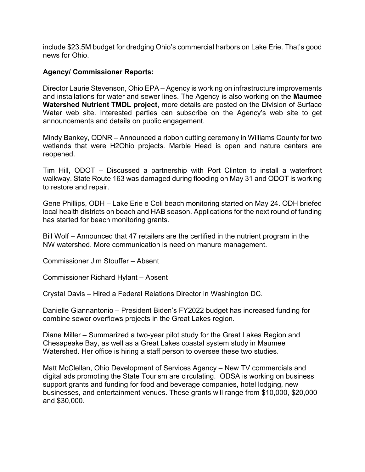include \$23.5M budget for dredging Ohio's commercial harbors on Lake Erie. That's good news for Ohio.

#### **Agency/ Commissioner Reports:**

Director Laurie Stevenson, Ohio EPA – Agency is working on infrastructure improvements and installations for water and sewer lines. The Agency is also working on the **Maumee Watershed Nutrient TMDL project**, more details are posted on the Division of Surface Water web site. Interested parties can subscribe on the Agency's web site to get announcements and details on public engagement.

Mindy Bankey, ODNR – Announced a ribbon cutting ceremony in Williams County for two wetlands that were H2Ohio projects. Marble Head is open and nature centers are reopened.

Tim Hill, ODOT – Discussed a partnership with Port Clinton to install a waterfront walkway. State Route 163 was damaged during flooding on May 31 and ODOT is working to restore and repair.

Gene Phillips, ODH – Lake Erie e Coli beach monitoring started on May 24. ODH briefed local health districts on beach and HAB season. Applications for the next round of funding has started for beach monitoring grants.

Bill Wolf – Announced that 47 retailers are the certified in the nutrient program in the NW watershed. More communication is need on manure management.

Commissioner Jim Stouffer – Absent

Commissioner Richard Hylant – Absent

Crystal Davis – Hired a Federal Relations Director in Washington DC.

Danielle Giannantonio – President Biden's FY2022 budget has increased funding for combine sewer overflows projects in the Great Lakes region.

Diane Miller – Summarized a two-year pilot study for the Great Lakes Region and Chesapeake Bay, as well as a Great Lakes coastal system study in Maumee Watershed. Her office is hiring a staff person to oversee these two studies.

Matt McClellan, Ohio Development of Services Agency – New TV commercials and digital ads promoting the State Tourism are circulating. ODSA is working on business support grants and funding for food and beverage companies, hotel lodging, new businesses, and entertainment venues. These grants will range from \$10,000, \$20,000 and \$30,000.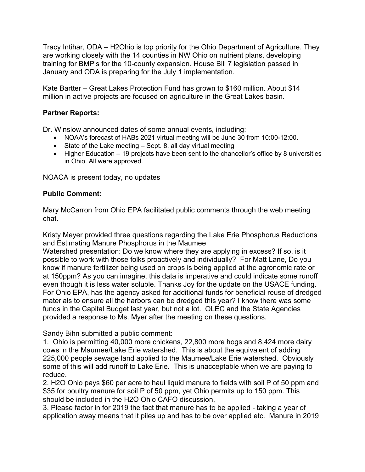Tracy Intihar, ODA – H2Ohio is top priority for the Ohio Department of Agriculture. They are working closely with the 14 counties in NW Ohio on nutrient plans, developing training for BMP's for the 10-county expansion. House Bill 7 legislation passed in January and ODA is preparing for the July 1 implementation.

Kate Bartter – Great Lakes Protection Fund has grown to \$160 million. About \$14 million in active projects are focused on agriculture in the Great Lakes basin.

### **Partner Reports:**

Dr. Winslow announced dates of some annual events, including:

- NOAA's forecast of HABs 2021 virtual meeting will be June 30 from 10:00-12:00.
- State of the Lake meeting Sept. 8, all day virtual meeting
- Higher Education 19 projects have been sent to the chancellor's office by 8 universities in Ohio. All were approved.

NOACA is present today, no updates

#### **Public Comment:**

Mary McCarron from Ohio EPA facilitated public comments through the web meeting chat.

Kristy Meyer provided three questions regarding the Lake Erie Phosphorus Reductions and Estimating Manure Phosphorus in the Maumee

Watershed presentation: Do we know where they are applying in excess? If so, is it possible to work with those folks proactively and individually? For Matt Lane, Do you know if manure fertilizer being used on crops is being applied at the agronomic rate or at 150ppm? As you can imagine, this data is imperative and could indicate some runoff even though it is less water soluble. Thanks Joy for the update on the USACE funding. For Ohio EPA, has the agency asked for additional funds for beneficial reuse of dredged materials to ensure all the harbors can be dredged this year? I know there was some funds in the Capital Budget last year, but not a lot. OLEC and the State Agencies provided a response to Ms. Myer after the meeting on these questions.

Sandy Bihn submitted a public comment:

1. Ohio is permitting 40,000 more chickens, 22,800 more hogs and 8,424 more dairy cows in the Maumee/Lake Erie watershed. This is about the equivalent of adding 225,000 people sewage land applied to the Maumee/Lake Erie watershed. Obviously some of this will add runoff to Lake Erie. This is unacceptable when we are paying to reduce.

2. H2O Ohio pays \$60 per acre to haul liquid manure to fields with soil P of 50 ppm and \$35 for poultry manure for soil P of 50 ppm, yet Ohio permits up to 150 ppm. This should be included in the H2O Ohio CAFO discussion,

3. Please factor in for 2019 the fact that manure has to be applied - taking a year of application away means that it piles up and has to be over applied etc. Manure in 2019